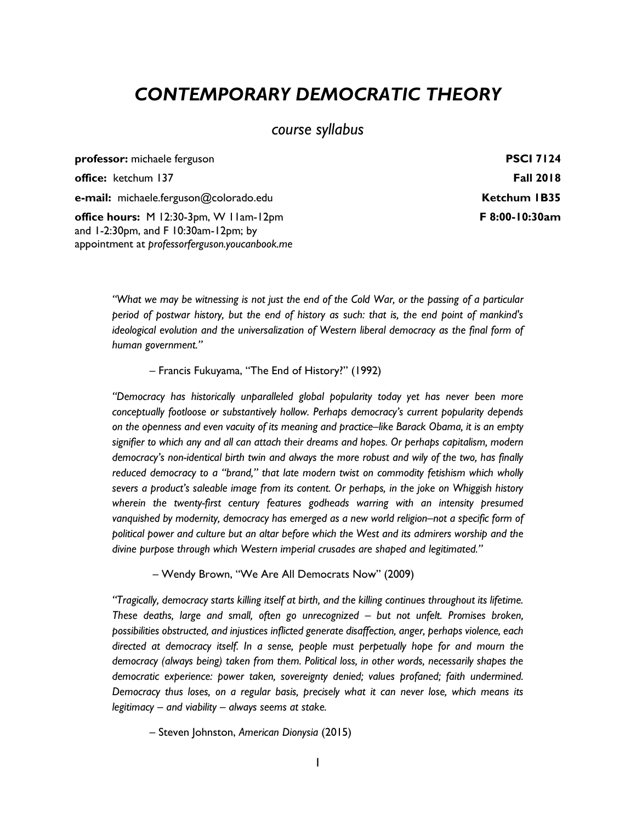# *CONTEMPORARY DEMOCRATIC THEORY*

## *course syllabus*

**professor:** michaele ferguson **office:** ketchum 137 **e-mail:** michaele.ferguson@colorado.edu **office hours:** M 12:30-3pm, W 11am-12pm and 1-2:30pm, and F 10:30am-12pm; by appointment at *professorferguson.youcanbook.me*

**PSCI 7124 Fall 2018 Ketchum 1B35 F 8:00-10:30am**

*"What we may be witnessing is not just the end of the Cold War, or the passing of a particular period of postwar history, but the end of history as such: that is, the end point of mankind's ideological evolution and the universalization of Western liberal democracy as the final form of human government."*

– Francis Fukuyama, "The End of History?" (1992)

*"Democracy has historically unparalleled global popularity today yet has never been more conceptually footloose or substantively hollow. Perhaps democracy's current popularity depends on the openness and even vacuity of its meaning and practice–like Barack Obama, it is an empty signifier to which any and all can attach their dreams and hopes. Or perhaps capitalism, modern democracy's non-identical birth twin and always the more robust and wily of the two, has finally reduced democracy to a "brand," that late modern twist on commodity fetishism which wholly severs a product's saleable image from its content. Or perhaps, in the joke on Whiggish history*  wherein the twenty-first century features godheads warring with an intensity presumed *vanquished by modernity, democracy has emerged as a new world religion–not a specific form of political power and culture but an altar before which the West and its admirers worship and the divine purpose through which Western imperial crusades are shaped and legitimated."*

– Wendy Brown, "We Are All Democrats Now" (2009)

*"Tragically, democracy starts killing itself at birth, and the killing continues throughout its lifetime. These deaths, large and small, often go unrecognized – but not unfelt. Promises broken, possibilities obstructed, and injustices inflicted generate disaffection, anger, perhaps violence, each directed at democracy itself. In a sense, people must perpetually hope for and mourn the democracy (always being) taken from them. Political loss, in other words, necessarily shapes the democratic experience: power taken, sovereignty denied; values profaned; faith undermined. Democracy thus loses, on a regular basis, precisely what it can never lose, which means its legitimacy – and viability – always seems at stake.*

– Steven Johnston, *American Dionysia* (2015)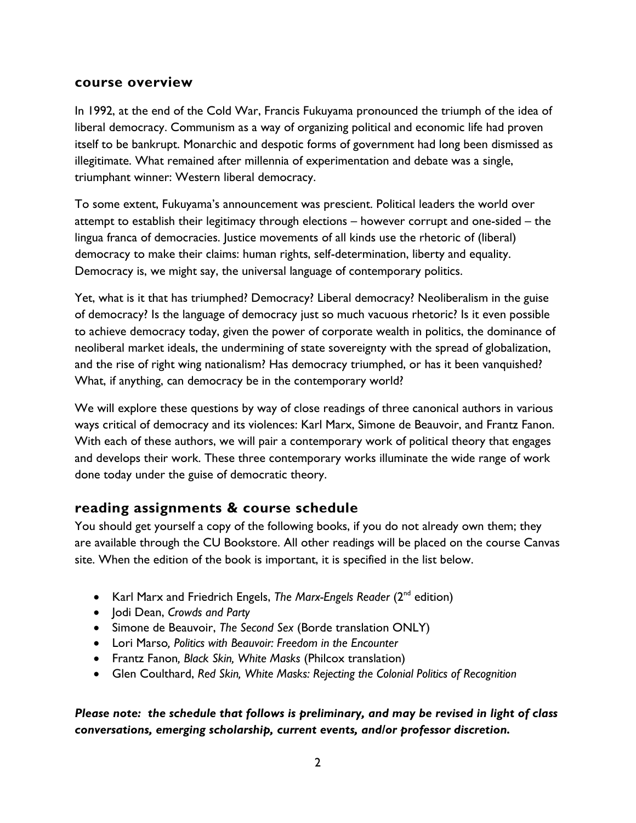## **course overview**

In 1992, at the end of the Cold War, Francis Fukuyama pronounced the triumph of the idea of liberal democracy. Communism as a way of organizing political and economic life had proven itself to be bankrupt. Monarchic and despotic forms of government had long been dismissed as illegitimate. What remained after millennia of experimentation and debate was a single, triumphant winner: Western liberal democracy.

To some extent, Fukuyama's announcement was prescient. Political leaders the world over attempt to establish their legitimacy through elections – however corrupt and one-sided – the lingua franca of democracies. Justice movements of all kinds use the rhetoric of (liberal) democracy to make their claims: human rights, self-determination, liberty and equality. Democracy is, we might say, the universal language of contemporary politics.

Yet, what is it that has triumphed? Democracy? Liberal democracy? Neoliberalism in the guise of democracy? Is the language of democracy just so much vacuous rhetoric? Is it even possible to achieve democracy today, given the power of corporate wealth in politics, the dominance of neoliberal market ideals, the undermining of state sovereignty with the spread of globalization, and the rise of right wing nationalism? Has democracy triumphed, or has it been vanquished? What, if anything, can democracy be in the contemporary world?

We will explore these questions by way of close readings of three canonical authors in various ways critical of democracy and its violences: Karl Marx, Simone de Beauvoir, and Frantz Fanon. With each of these authors, we will pair a contemporary work of political theory that engages and develops their work. These three contemporary works illuminate the wide range of work done today under the guise of democratic theory.

## **reading assignments & course schedule**

You should get yourself a copy of the following books, if you do not already own them; they are available through the CU Bookstore. All other readings will be placed on the course Canvas site. When the edition of the book is important, it is specified in the list below.

- Karl Marx and Friedrich Engels, *The Marx-Engels Reader* (2nd edition)
- Jodi Dean, *Crowds and Party*
- Simone de Beauvoir, *The Second Sex* (Borde translation ONLY)
- Lori Marso*, Politics with Beauvoir: Freedom in the Encounter*
- Frantz Fanon*, Black Skin, White Masks* (Philcox translation)
- Glen Coulthard, *Red Skin, White Masks: Rejecting the Colonial Politics of Recognition*

## *Please note: the schedule that follows is preliminary, and may be revised in light of class conversations, emerging scholarship, current events, and/or professor discretion.*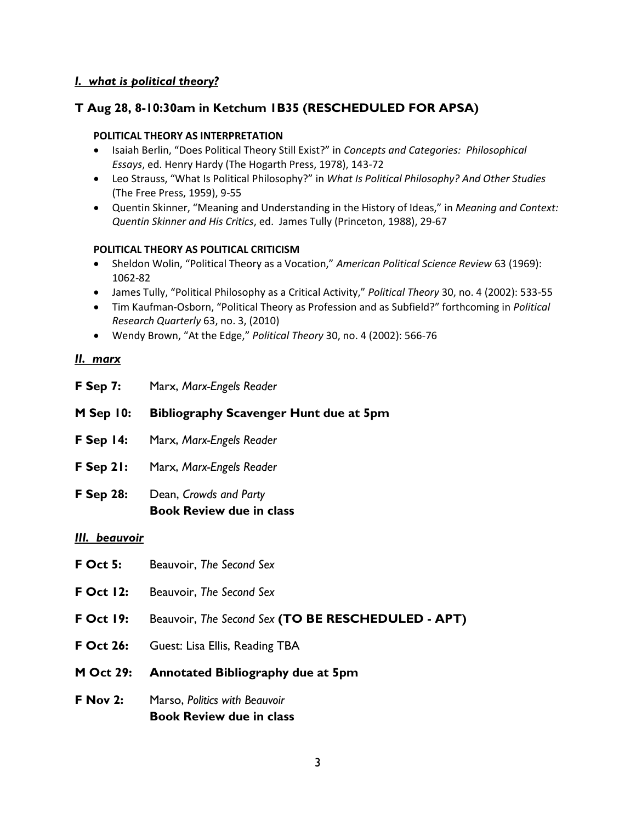#### *I. what is political theory?*

## **T Aug 28, 8-10:30am in Ketchum 1B35 (RESCHEDULED FOR APSA)**

#### **POLITICAL THEORY AS INTERPRETATION**

- Isaiah Berlin, "Does Political Theory Still Exist?" in *Concepts and Categories: Philosophical Essays*, ed. Henry Hardy (The Hogarth Press, 1978), 143-72
- Leo Strauss, "What Is Political Philosophy?" in *What Is Political Philosophy? And Other Studies* (The Free Press, 1959), 9-55
- Quentin Skinner, "Meaning and Understanding in the History of Ideas," in *Meaning and Context: Quentin Skinner and His Critics*, ed. James Tully (Princeton, 1988), 29-67

#### **POLITICAL THEORY AS POLITICAL CRITICISM**

- Sheldon Wolin, "Political Theory as a Vocation," *American Political Science Review* 63 (1969): 1062-82
- James Tully, "Political Philosophy as a Critical Activity," *Political Theory* 30, no. 4 (2002): 533-55
- Tim Kaufman-Osborn, "Political Theory as Profession and as Subfield?" forthcoming in *Political Research Quarterly* 63, no. 3, (2010)
- Wendy Brown, "At the Edge," *Political Theory* 30, no. 4 (2002): 566-76

#### *II. marx*

| $F$ Sep 7:  | Marx, Marx-Engels Reader                      |
|-------------|-----------------------------------------------|
| $M$ Sep 10: | <b>Bibliography Scavenger Hunt due at 5pm</b> |
| $F$ Sep 14: | Marx, Marx-Engels Reader                      |
| $F$ Sep 21: | Marx, Marx-Engels Reader                      |
|             |                                               |

**F Sep 28:** Dean, *Crowds and Party* **Book Review due in class**

#### *III. beauvoir*

- **F Oct 5:** Beauvoir, *The Second Sex*
- **F Oct 12:** Beauvoir, *The Second Sex*
- **F Oct 19:** Beauvoir, *The Second Sex* **(TO BE RESCHEDULED - APT)**
- **F Oct 26:** Guest: Lisa Ellis, Reading TBA
- **M Oct 29: Annotated Bibliography due at 5pm**
- **F Nov 2:** Marso, *Politics with Beauvoir* **Book Review due in class**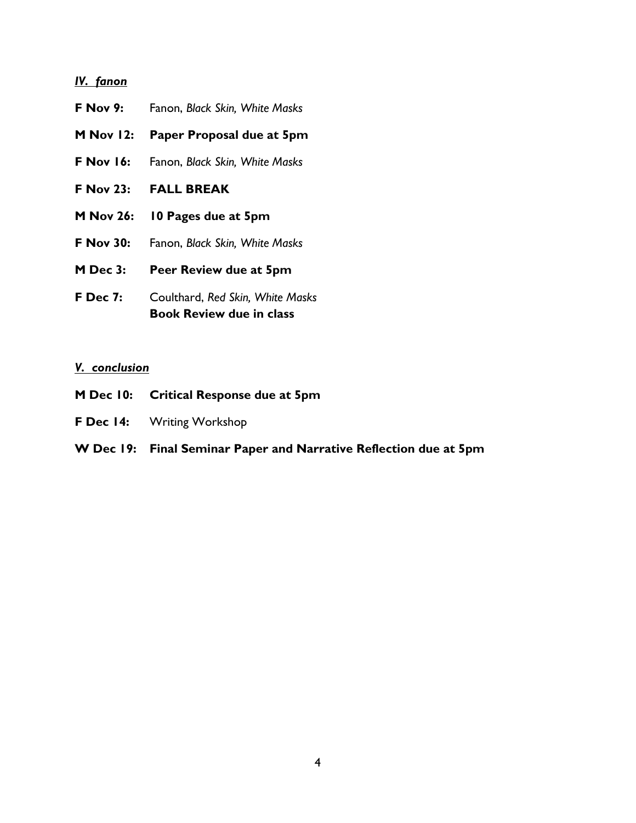#### *IV. fanon*

- **F Nov 9:** Fanon, *Black Skin, White Masks*
- **M Nov 12: Paper Proposal due at 5pm**
- **F Nov 16:** Fanon, *Black Skin, White Masks*
- **F Nov 23: FALL BREAK**
- **M Nov 26: 10 Pages due at 5pm**
- **F Nov 30:** Fanon, *Black Skin, White Masks*
- **M Dec 3: Peer Review due at 5pm**
- **F Dec 7:** Coulthard, *Red Skin, White Masks* **Book Review due in class**

#### *V. conclusion*

- **M Dec 10: Critical Response due at 5pm**
- **F Dec 14:** Writing Workshop

### **W Dec 19: Final Seminar Paper and Narrative Reflection due at 5pm**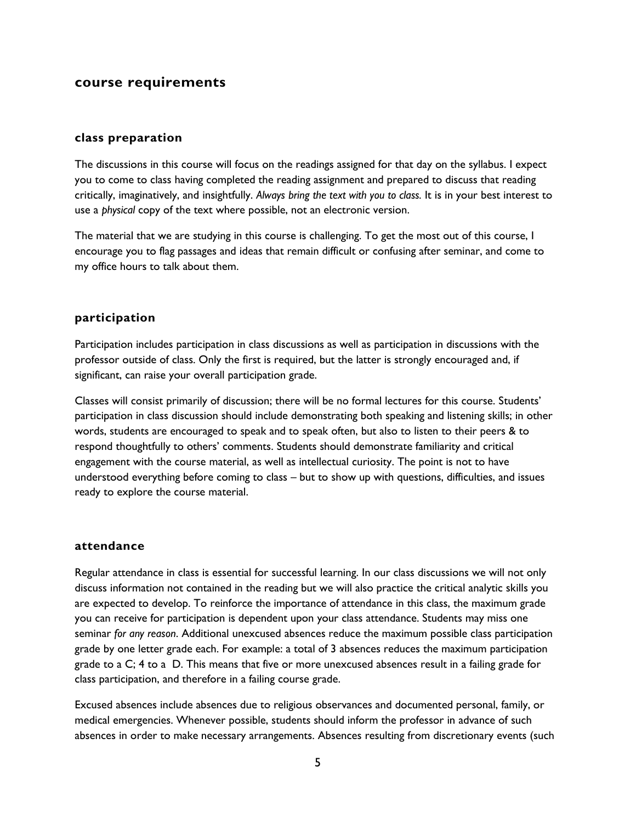#### **course requirements**

#### **class preparation**

The discussions in this course will focus on the readings assigned for that day on the syllabus. I expect you to come to class having completed the reading assignment and prepared to discuss that reading critically, imaginatively, and insightfully. *Always bring the text with you to class.* It is in your best interest to use a *physical* copy of the text where possible, not an electronic version.

The material that we are studying in this course is challenging. To get the most out of this course, I encourage you to flag passages and ideas that remain difficult or confusing after seminar, and come to my office hours to talk about them.

#### **participation**

Participation includes participation in class discussions as well as participation in discussions with the professor outside of class. Only the first is required, but the latter is strongly encouraged and, if significant, can raise your overall participation grade.

Classes will consist primarily of discussion; there will be no formal lectures for this course. Students' participation in class discussion should include demonstrating both speaking and listening skills; in other words, students are encouraged to speak and to speak often, but also to listen to their peers & to respond thoughtfully to others' comments. Students should demonstrate familiarity and critical engagement with the course material, as well as intellectual curiosity. The point is not to have understood everything before coming to class – but to show up with questions, difficulties, and issues ready to explore the course material.

#### **attendance**

Regular attendance in class is essential for successful learning. In our class discussions we will not only discuss information not contained in the reading but we will also practice the critical analytic skills you are expected to develop. To reinforce the importance of attendance in this class, the maximum grade you can receive for participation is dependent upon your class attendance. Students may miss one seminar *for any reason*. Additional unexcused absences reduce the maximum possible class participation grade by one letter grade each. For example: a total of 3 absences reduces the maximum participation grade to a C; 4 to a D. This means that five or more unexcused absences result in a failing grade for class participation, and therefore in a failing course grade.

Excused absences include absences due to religious observances and documented personal, family, or medical emergencies. Whenever possible, students should inform the professor in advance of such absences in order to make necessary arrangements. Absences resulting from discretionary events (such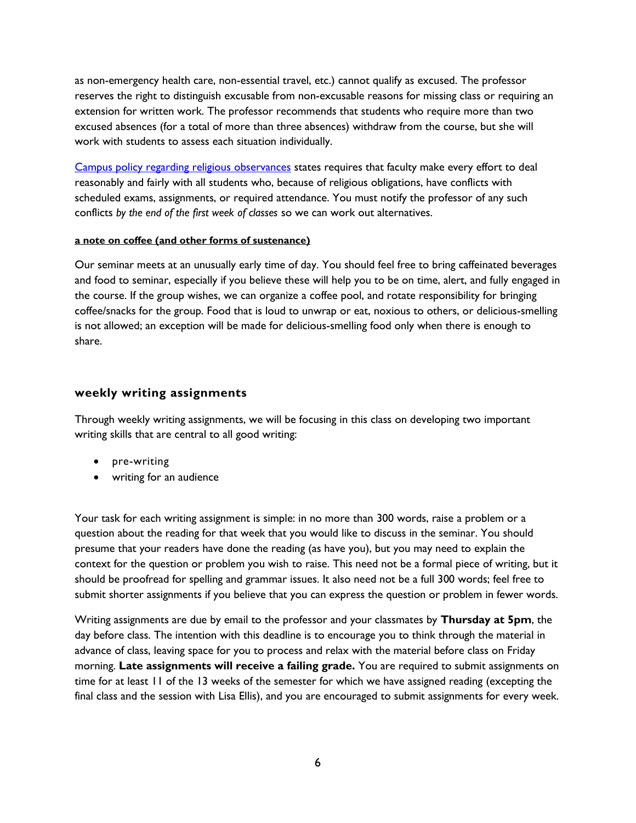as non-emergency health care, non-essential travel, etc.) cannot qualify as excused. The professor reserves the right to distinguish excusable from non-excusable reasons for missing class or requiring an extension for written work. The professor recommends that students who require more than two excused absences (for a total of more than three absences) withdraw from the course, but she will work with students to assess each situation individually.

[Campus policy regarding religious observances](http://www.colorado.edu/policies/observance-religious-holidays-and-absences-classes-andor-exams) states requires that faculty make every effort to deal reasonably and fairly with all students who, because of religious obligations, have conflicts with scheduled exams, assignments, or required attendance. You must notify the professor of any such conflicts *by the end of the first week of classes* so we can work out alternatives.

#### **a note on coffee (and other forms of sustenance)**

Our seminar meets at an unusually early time of day. You should feel free to bring caffeinated beverages and food to seminar, especially if you believe these will help you to be on time, alert, and fully engaged in the course. If the group wishes, we can organize a coffee pool, and rotate responsibility for bringing coffee/snacks for the group. Food that is loud to unwrap or eat, noxious to others, or delicious-smelling is not allowed; an exception will be made for delicious-smelling food only when there is enough to share.

#### **weekly writing assignments**

Through weekly writing assignments, we will be focusing in this class on developing two important writing skills that are central to all good writing:

- pre-writing
- writing for an audience

Your task for each writing assignment is simple: in no more than 300 words, raise a problem or a question about the reading for that week that you would like to discuss in the seminar. You should presume that your readers have done the reading (as have you), but you may need to explain the context for the question or problem you wish to raise. This need not be a formal piece of writing, but it should be proofread for spelling and grammar issues. It also need not be a full 300 words; feel free to submit shorter assignments if you believe that you can express the question or problem in fewer words.

Writing assignments are due by email to the professor and your classmates by **Thursday at 5pm**, the day before class. The intention with this deadline is to encourage you to think through the material in advance of class, leaving space for you to process and relax with the material before class on Friday morning. **Late assignments will receive a failing grade.** You are required to submit assignments on time for at least 11 of the 13 weeks of the semester for which we have assigned reading (excepting the final class and the session with Lisa Ellis), and you are encouraged to submit assignments for every week.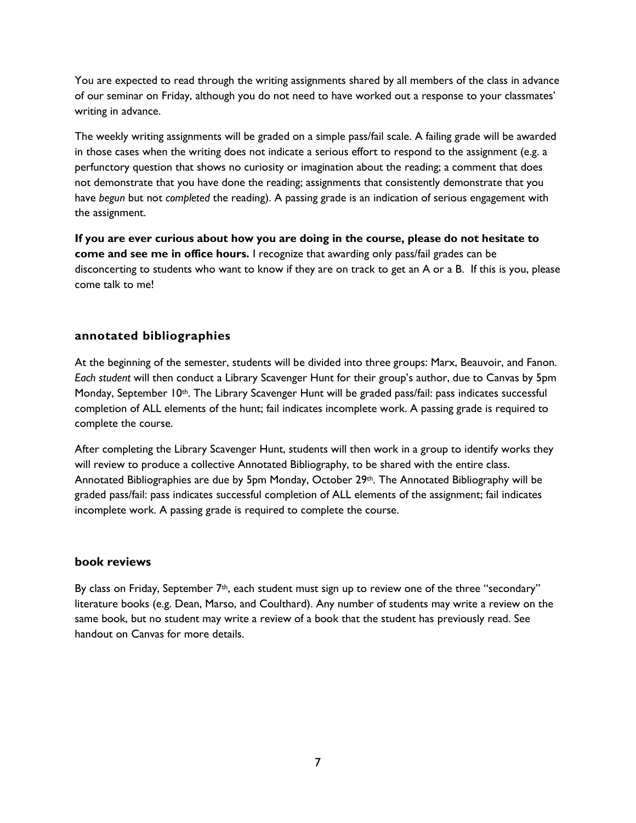You are expected to read through the writing assignments shared by all members of the class in advance of our seminar on Friday, although you do not need to have worked out a response to your classmates' writing in advance.

The weekly writing assignments will be graded on a simple pass/fail scale. A failing grade will be awarded in those cases when the writing does not indicate a serious effort to respond to the assignment (e.g. a perfunctory question that shows no curiosity or imagination about the reading; a comment that does not demonstrate that you have done the reading; assignments that consistently demonstrate that you have *begun* but not *completed* the reading). A passing grade is an indication of serious engagement with the assignment.

**If you are ever curious about how you are doing in the course, please do not hesitate to come and see me in office hours.** I recognize that awarding only pass/fail grades can be disconcerting to students who want to know if they are on track to get an A or a B. If this is you, please come talk to me!

## **annotated bibliographies**

At the beginning of the semester, students will be divided into three groups: Marx, Beauvoir, and Fanon. *Each student* will then conduct a Library Scavenger Hunt for their group's author, due to Canvas by 5pm Monday, September 10<sup>th</sup>. The Library Scavenger Hunt will be graded pass/fail: pass indicates successful completion of ALL elements of the hunt; fail indicates incomplete work. A passing grade is required to complete the course.

After completing the Library Scavenger Hunt, students will then work in a group to identify works they will review to produce a collective Annotated Bibliography, to be shared with the entire class. Annotated Bibliographies are due by 5pm Monday, October 29th. The Annotated Bibliography will be graded pass/fail: pass indicates successful completion of ALL elements of the assignment; fail indicates incomplete work. A passing grade is required to complete the course.

#### **book reviews**

By class on Friday, September 7<sup>th</sup>, each student must sign up to review one of the three "secondary" literature books (e.g. Dean, Marso, and Coulthard). Any number of students may write a review on the same book, but no student may write a review of a book that the student has previously read. See handout on Canvas for more details.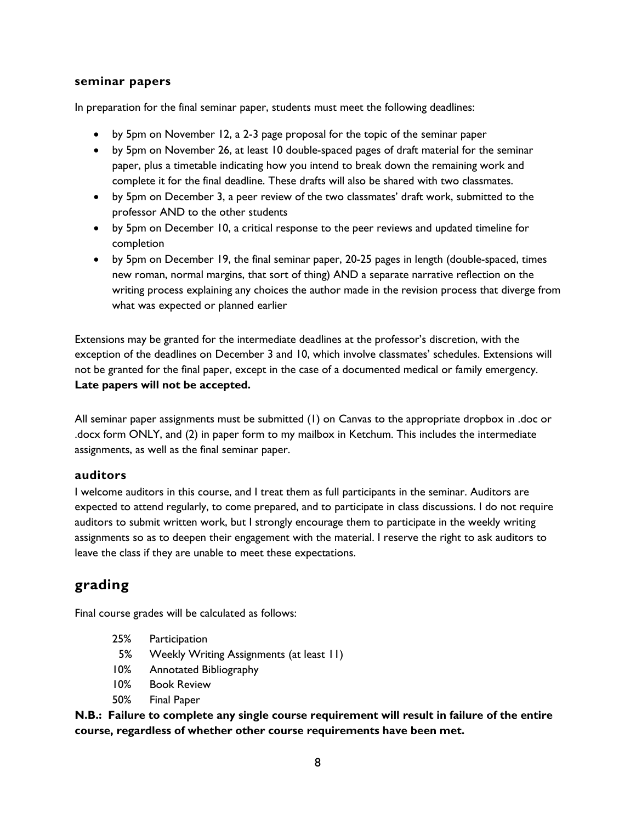#### **seminar papers**

In preparation for the final seminar paper, students must meet the following deadlines:

- by 5pm on November 12, a 2-3 page proposal for the topic of the seminar paper
- by 5pm on November 26, at least 10 double-spaced pages of draft material for the seminar paper, plus a timetable indicating how you intend to break down the remaining work and complete it for the final deadline. These drafts will also be shared with two classmates.
- by 5pm on December 3, a peer review of the two classmates' draft work, submitted to the professor AND to the other students
- by 5pm on December 10, a critical response to the peer reviews and updated timeline for completion
- by 5pm on December 19, the final seminar paper, 20-25 pages in length (double-spaced, times new roman, normal margins, that sort of thing) AND a separate narrative reflection on the writing process explaining any choices the author made in the revision process that diverge from what was expected or planned earlier

Extensions may be granted for the intermediate deadlines at the professor's discretion, with the exception of the deadlines on December 3 and 10, which involve classmates' schedules. Extensions will not be granted for the final paper, except in the case of a documented medical or family emergency. **Late papers will not be accepted.**

All seminar paper assignments must be submitted (1) on Canvas to the appropriate dropbox in .doc or .docx form ONLY, and (2) in paper form to my mailbox in Ketchum. This includes the intermediate assignments, as well as the final seminar paper.

#### **auditors**

I welcome auditors in this course, and I treat them as full participants in the seminar. Auditors are expected to attend regularly, to come prepared, and to participate in class discussions. I do not require auditors to submit written work, but I strongly encourage them to participate in the weekly writing assignments so as to deepen their engagement with the material. I reserve the right to ask auditors to leave the class if they are unable to meet these expectations.

## **grading**

Final course grades will be calculated as follows:

- 25% Participation
- 5% Weekly Writing Assignments (at least 11)
- 10% Annotated Bibliography
- 10% Book Review
- 50% Final Paper

**N.B.: Failure to complete any single course requirement will result in failure of the entire course, regardless of whether other course requirements have been met.**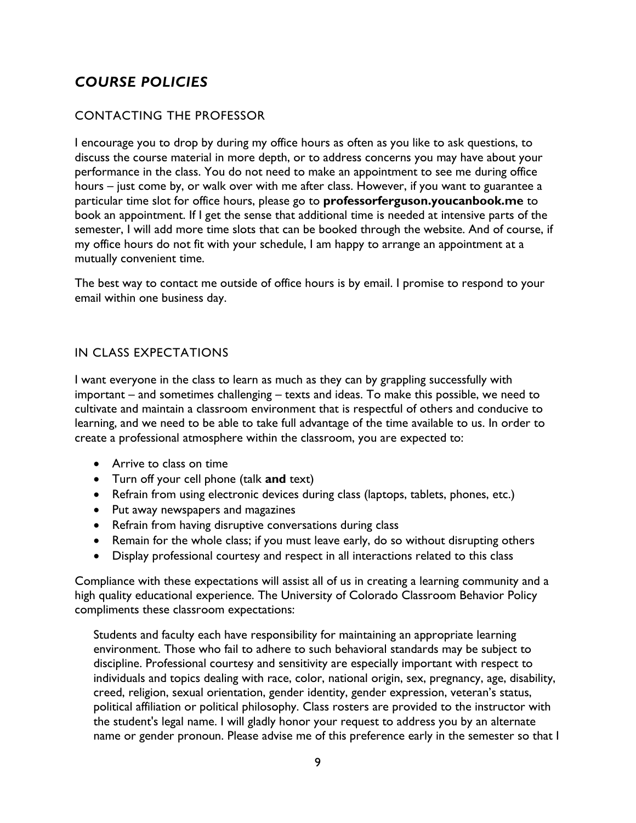## *COURSE POLICIES*

## CONTACTING THE PROFESSOR

I encourage you to drop by during my office hours as often as you like to ask questions, to discuss the course material in more depth, or to address concerns you may have about your performance in the class. You do not need to make an appointment to see me during office hours – just come by, or walk over with me after class. However, if you want to guarantee a particular time slot for office hours, please go to **professorferguson.youcanbook.me** to book an appointment. If I get the sense that additional time is needed at intensive parts of the semester, I will add more time slots that can be booked through the website. And of course, if my office hours do not fit with your schedule, I am happy to arrange an appointment at a mutually convenient time.

The best way to contact me outside of office hours is by email. I promise to respond to your email within one business day.

## IN CLASS EXPECTATIONS

I want everyone in the class to learn as much as they can by grappling successfully with important – and sometimes challenging – texts and ideas. To make this possible, we need to cultivate and maintain a classroom environment that is respectful of others and conducive to learning, and we need to be able to take full advantage of the time available to us. In order to create a professional atmosphere within the classroom, you are expected to:

- Arrive to class on time
- Turn off your cell phone (talk **and** text)
- Refrain from using electronic devices during class (laptops, tablets, phones, etc.)
- Put away newspapers and magazines
- Refrain from having disruptive conversations during class
- Remain for the whole class; if you must leave early, do so without disrupting others
- Display professional courtesy and respect in all interactions related to this class

Compliance with these expectations will assist all of us in creating a learning community and a high quality educational experience. The University of Colorado Classroom Behavior Policy compliments these classroom expectations:

Students and faculty each have responsibility for maintaining an appropriate learning environment. Those who fail to adhere to such behavioral standards may be subject to discipline. Professional courtesy and sensitivity are especially important with respect to individuals and topics dealing with race, color, national origin, sex, pregnancy, age, disability, creed, religion, sexual orientation, gender identity, gender expression, veteran's status, political affiliation or political philosophy. Class rosters are provided to the instructor with the student's legal name. I will gladly honor your request to address you by an alternate name or gender pronoun. Please advise me of this preference early in the semester so that I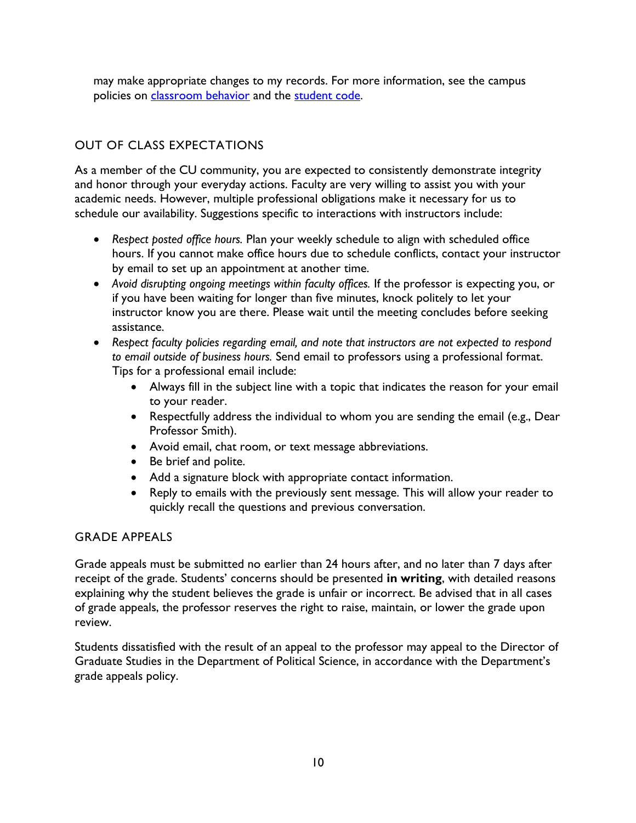may make appropriate changes to my records. For more information, see the campus policies on [classroom behavior](https://www.colorado.edu/policies/student-classroom-and-course-related-behavior) and the [student code.](https://www.colorado.edu/osccr/)

## OUT OF CLASS EXPECTATIONS

As a member of the CU community, you are expected to consistently demonstrate integrity and honor through your everyday actions. Faculty are very willing to assist you with your academic needs. However, multiple professional obligations make it necessary for us to schedule our availability. Suggestions specific to interactions with instructors include:

- *Respect posted office hours.* Plan your weekly schedule to align with scheduled office hours. If you cannot make office hours due to schedule conflicts, contact your instructor by email to set up an appointment at another time.
- *Avoid disrupting ongoing meetings within faculty offices.* If the professor is expecting you, or if you have been waiting for longer than five minutes, knock politely to let your instructor know you are there. Please wait until the meeting concludes before seeking assistance.
- *Respect faculty policies regarding email, and note that instructors are not expected to respond to email outside of business hours.* Send email to professors using a professional format. Tips for a professional email include:
	- Always fill in the subject line with a topic that indicates the reason for your email to your reader.
	- Respectfully address the individual to whom you are sending the email (e.g., Dear Professor Smith).
	- Avoid email, chat room, or text message abbreviations.
	- Be brief and polite.
	- Add a signature block with appropriate contact information.
	- Reply to emails with the previously sent message. This will allow your reader to quickly recall the questions and previous conversation.

## GRADE APPEALS

Grade appeals must be submitted no earlier than 24 hours after, and no later than 7 days after receipt of the grade. Students' concerns should be presented **in writing**, with detailed reasons explaining why the student believes the grade is unfair or incorrect. Be advised that in all cases of grade appeals, the professor reserves the right to raise, maintain, or lower the grade upon review.

Students dissatisfied with the result of an appeal to the professor may appeal to the Director of Graduate Studies in the Department of Political Science, in accordance with the Department's grade appeals policy.